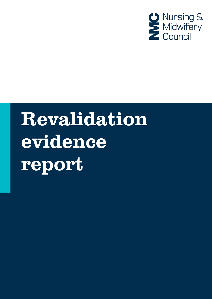

# Revalidation evidence report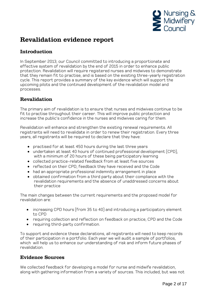

# Revalidation evidence report

# Introduction

In September 2013, our Council committed to introducing a proportionate and effective system of revalidation by the end of 2015 in order to enhance public protection. Revalidation will require registered nurses and midwives to demonstrate that they remain fit to practise, and is based on the existing three-yearly registration cycle. This report provides a summary of the key evidence which will support the upcoming pilots and the continued development of the revalidation model and processes.

# Revalidation

The primary aim of revalidation is to ensure that nurses and midwives continue to be fit to practise throughout their career. This will improve public protection and increase the public's confidence in the nurses and midwives caring for them.

Revalidation will enhance and strengthen the existing renewal requirements. All registrants will need to revalidate in order to renew their registration. Every three years, all registrants will be required to declare that they have:

- practised for at least 450 hours during the last three years
- undertaken at least 40 hours of continued professional development (CPD), with a minimum of 20 hours of these being participatory learning
- collected practice-related feedback from at least five sources
- reflected on their CPD, feedback they have received and the Code
- had an appropriate professional indemnity arrangement in place
- obtained confirmation from a third party about their compliance with the revalidation requirements and the absence of unaddressed concerns about their practice

The main changes between the current requirements and the proposed model for revalidation are:

- increasing CPD hours (from 35 to 40) and introducing a participatory element to CPD
- requiring collection and reflection on feedback on practice, CPD and the Code
- requiring third-party confirmation.

To support and evidence these declarations, all registrants will need to keep records of their participation in a portfolio. Each year we will audit a sample of portfolios, which will help us to enhance our understanding of risk and inform future phases of revalidation.

# Evidence Sources

We collected feedback for developing a model for nurse and midwife revalidation, along with gathering information from a variety of sources. This included, but was not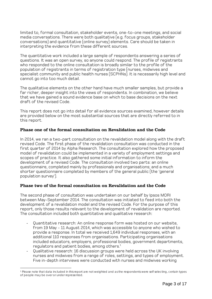limited to, formal consultation, stakeholder events, one-to-one meetings, and social media conversations. There were both qualitative (e.g. focus groups, stakeholder conversations) and quantitative (online survey) elements. Care should be taken in interpreting the evidence from these different sources.

The quantitative work included a large sample of respondents answering a series of questions. It was an open survey, so anyone could respond. The profile of registrants who responded to the online consultation is broadly similar to the profile of the population of registrants in terms of registration type (nurses, midwives and specialist community and public health nurses (SCPHNs). It is necessarily high level and cannot go into too much detail.

The qualitative elements on the other hand have much smaller samples, but provide a far richer, deeper insight into the views of respondents. In combination, we believe that we have gained a sound evidence base on which to base decisions on the next draft of the revised Code.

This report does not go into detail for all evidence sources examined, however details are provided below on the most substantial sources that are directly referred to in this report.

# Phase one of the formal consultation on Revalidation and the Code

In 2014, we ran a two-part consultation on the revalidation model along with the draft revised Code. The first phase of the revalidation consultation was conducted in the first quarter of 2014 by Alpha Research. The consultation explored how the proposed model of revalidation could be implemented in a variety of employment settings and scopes of practice. It also gathered some initial information to inform the development of a revised Code. The consultation involved two parts: an online questionnaire, completed mainly by professionals and organisations; and a much shorter questionnaire completed by members of the general public (the 'general population survey').

# Phase two of the formal consultation on Revalidation and the Code

The second phase of consultation was undertaken on our behalf by Ipsos MORI between May-September 2014. The consultation was initiated to feed into both the development of a revalidation model and the revised Code. For the purpose of this report, only those results relevant to the development of revalidation are reported. The consultation included both quantitative and qualitative research:

- Quantitative research: An online response form was hosted on our website, from 19 May - 11 August 2014, which was accessible to anyone who wished to provide a response. In total we received 1,649 individual responses, with an additional 110 responses from organisations. Participating organisations included educators, employers, professional bodies, government departments, regulators and patient bodies, among others.<sup>1</sup>
- Qualitative research: 16 discussion groups were held across the UK involving nurses and midwives from a range of roles, settings, and types of employment. Five in-depth interviews were conducted with nurses and midwives working

<sup>-</sup><sup>1</sup> Please note that data included in this report are not weighted and as the respondents were self selecting, certain types of people may be over or under represented.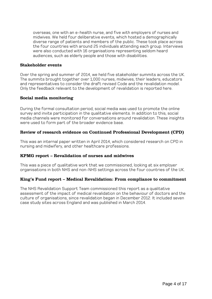overseas, one with an e-health nurse, and five with employers of nurses and midwives. We held four deliberative events, which hosted a demographically diverse range of patients and members of the public. These took place across the four countries with around 25 individuals attending each group. Interviews were also conducted with 16 organisations representing seldom heard audiences, such as elderly people and those with disabilities.

### Stakeholder events

Over the spring and summer of 2014, we held five stakeholder summits across the UK. The summits brought together over 1,000 nurses, midwives, their leaders, educators and representatives to consider the draft revised Code and the revalidation model. Only the feedback relevant to the development of revalidation is reported here.

# Social media monitoring

During the formal consultation period, social media was used to promote the online survey and invite participation in the qualitative elements. In addition to this, social media channels were monitored for conversations around revalidation. These insights were used to form part of the broader evidence base.

# Review of research evidence on Continued Professional Development (CPD)

This was an internal paper written in April 2014, which considered research on CPD in nursing and midwifery, and other healthcare professions.

#### KPMG report – Revalidation of nurses and midwives

This was a piece of qualitative work that we commissioned, looking at six employer organisations in both NHS and non-NHS settings across the four countries of the UK.

#### King's Fund report – Medical Revalidation: From compliance to commitment

The NHS Revalidation Support Team commissioned this report as a qualitative assessment of the impact of medical revalidation on the behaviour of doctors and the culture of organisations, since revalidation began in December 2012. It included seven case study sites across England and was published in March 2014.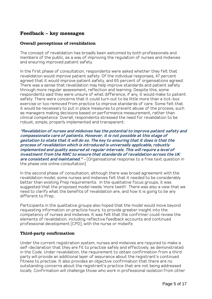# Feedback – key messages

# Overall perceptions of revalidation

The concept of revalidation has broadly been welcomed by both professionals and members of the public, as a way of improving the regulation of nurses and midwives and ensuring improved patient safety.

In the first phase of consultation, respondents were asked whether they felt that revalidation would improve patient safety. Of the individual responses, 47 percent agreed that it would improve patient safety, and 65 percent of organisations agreed. There was a sense that revalidation may help improve standards and patient safety through more regular assessment, reflection and learning. Despite this, some respondents said they were unsure of what difference, if any, it would make to patient safety. There were concerns that it could turn out to be little more than a tick-box exercise or too removed from practice to improve standards of care. Some felt that it would be necessary to put in place measures to prevent abuse of the process, such as managers making decisions based on performance measurement, rather than clinical competence. Overall, respondents stressed the need for revalidation to be robust, simple, properly implemented and transparent:

**"Revalidation of nurses and midwives has the potential to improve patient safety and compassionate care of patients. However, it is not possible at this stage of gestation to state that it will do so. The key to ensuring that it does is that the process of revalidation which is introduced is universally applicable, robustly implemented and quality assured at regular intervals. This will require a level of investment from the NMC to ensure that standards of revalidation across the UK are consistent and maintained."** – (Organisational response to a free text question in the phase one online consultation)

In the second phase of consultation, although there was broad agreement with the revalidation model, some nurses and midwives felt that it needed to be considerably better than existing Prep requirements. In the qualitative focus groups, it was suggested that the proposed model needs 'more teeth'. There was also a view that we need to clarify what the benefits of revalidation are, and how it is going to be any different to Prep.

Participants in the qualitative groups also hoped that the model would move beyond requesting information on practice hours, to provide greater insight into the competency of nurses and midwives. It was felt that the confirmer could review the elements of revalidation, including reflective feedback accounts and continued professional development (CPD), with the nurse or midwife.

# Third-party confirmation

Under the current registration system, nurses and midwives are required to make a self-declaration that they are fit to practise safely and effectively, as demonstrated in the Code. Under revalidation, the requirement to obtain confirmation from a third party will provide an additional layer of assurance about the registrant's continued fitness to practise. It also provides an objective confirmation that there are no outstanding concerns about the registrant's practice that are not being addressed locally. Confirmation will challenge those who work in professional isolation from other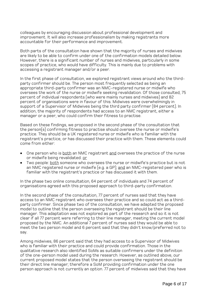colleagues by encouraging discussion about professional development and improvement. It will also increase professionalism by making registrants more accountable for their performance and improvement.

Both parts of the consultation have shown that the majority of nurses and midwives are likely to be able to confirm under one of the confirmation models detailed below. However, there is a significant number of nurses and midwives, particularly in some scopes of practice, who would have difficulty. This is mainly due to problems with accessing a registrant manager and/or a peer.

In the first phase of consultation, we explored registrant views around who the thirdparty confirmer should be. The person most frequently selected as being an appropriate third-party confirmer was an NMC-registered nurse or midwife who oversees the work of the nurse or midwife seeking revalidation. Of those consulted, 75 percent of individual respondents (who were mainly nurses and midwives) and 82 percent of organisations were in favour of this. Midwives were overwhelmingly in support of a Supervisor of Midwives being the third party confirmer (84 percent). In addition, the majority of respondents had access to an NMC registrant, either a manager or a peer, who could confirm their fitness to practise.

Based on these findings, we proposed in the second phase of the consultation that the person(s) confirming fitness to practise should oversee the nurse or midwife's practice. They should be a UK registered nurse or midwife who is familiar with the registrant's practice, or has discussed their practice with them. These elements could come from either:

- One person who is both an NMC registrant and oversees the practice of the nurse or midwife being revalidated. or
- Two people: both someone who oversees the nurse or midwife's practice but is not an NMC registered nurse or midwife (e.g. a GP); and an NMC-registered peer who is familiar with the registrant's practice or has discussed it with them.

In the phase two online consultation, 64 percent of individuals and 74 percent of organisations agreed with this proposed approach to third-party confirmation.

In the second phase of the consultation, 77 percent of nurses said that they have access to an NMC registrant who oversees their practice and so could act as a thirdparty confirmer. Since phase two of the consultation, we have adapted the proposed model to outline that the person overseeing the registrant should be their line manager. This adaptation was not explored as part of the research and so it is not clear if all 77 percent were referring to their line manager, meeting the current model proposed by the NMC. An additional 7 percent of nurses said they would be able to meet the two person model and 6 percent said that they didn't know/preferred not to say.

Among midwives, 86 percent said that they had access to a Supervisor of Midwives who is familiar with their practice and could provide confirmation. Those in the qualitative research also identified SoMs as suitable confirmers under the definition of the one-person model used during the research. However, as outlined above, our current proposed model states that the person overseeing the registrant should be their direct line manager; therefore a SoM providing confirmation under the one person approach is not currently an option. 77 percent of midwives said that they have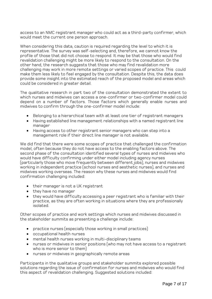access to an NMC registrant manager who could act as a third-party confirmer, which would meet the current one person approach.

When considering this data, caution is required regarding the level to which it is representative. The survey was self-selecting and, therefore, we cannot know the profile of those that did not choose to respond. It may be that those who would find revalidation challenging might be more likely to respond to the consultation. On the other hand, the research suggests that those who may find revalidation more challenging may work in more remote settings or varied scopes of practice. This could make them less likely to feel engaged by the consultation. Despite this, the data does provide some insight into the estimated reach of the proposed model and areas which could be considered in greater detail.

The qualitative research in part two of the consultation demonstrated the extent to which nurses and midwives can access a one-confirmer or two-confirmer model could depend on a number of factors. Those factors which generally enable nurses and midwives to confirm through the one-confirmer model include:

- Belonging to a hierarchical team with at least one tier of registrant managers
- Having established line management relationships with a named registrant line manager
- Having access to other registrant senior managers who can step into a management role if their direct line manager is not available.

We did find that there were some scopes of practice that challenged the confirmation model, often because they do not have access to the enabling factors above. The second phase of the consultation identified several types of nurses and midwives who would have difficulty confirming under either model including agency nurses (particularly those who move frequently between different jobs), nurses and midwives working in independent practice (school nurses and aesthetic nurses), and nurses and midwives working overseas. The reason why these nurses and midwives would find confirmation challenging included:

- their manager is not a UK registrant
- they have no manager
- they would have difficulty accessing a peer registrant who is familiar with their practice, as they are often working in situations where they are professionally isolated.

Other scopes of practice and work settings which nurses and midwives discussed in the stakeholder summits as presenting a challenge include:

- practice nurses (especially those working in small practices)
- occupational health nurses
- mental health nurses working in multi-disciplinary teams
- nurses or midwives in senior positions (who may not have access to a registrant who is more senior to them)
- nurses or midwives in geographically remote areas

Participants in the qualitative groups and stakeholder summits explored possible solutions regarding the issue of confirmation for nurses and midwives who would find this aspect of revalidation challenging. Suggested solutions included: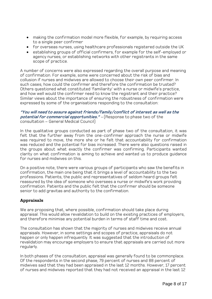- making the confirmation model more flexible, for example, by requiring access to a single peer confirmer
- for overseas nurses, using healthcare professionals registered outside the UK
- establishing groups of official confirmers, for example for the self-employed or agency nurses, or establishing networks with other registrants in the same scope of practice.

A number of concerns were also expressed regarding the overall purpose and meaning of confirmation. For example, some were concerned about the risk of bias and collusion if nurses and midwives are allowed to choose their own peer confirmer. In such cases, how could the confirmer and therefore the confirmation be trusted? Others questioned what constituted 'familiarity' with a nurse or midwife's practice, and how well would the confirmer need to know the registrant and their practice? Similar views about the importance of ensuring the robustness of confirmation were expressed by some of the organisations responding to the consultation:

# **"You will need to assure against friends/family/conflict of interest as well as the potential for commercial opportunities."** – (Response to phase two of the consultation – General Medical Council)

In the qualitative groups conducted as part of phase two of the consultation, it was felt that the further away from the one-confirmer approach the nurse or midwife was required to move, the more she or he felt that accountability for confirmation was reduced and the potential for bias increased. There were also questions raised in the groups about what exactly the confirmer was confirming. Participants wanted clarity on what confirmation is aiming to achieve and wanted us to produce guidance for nurses and midwives on this.

On a positive note, there were various groups of participants who saw the benefits in confirmation, the main one being that it brings a level of accountability to the two professions. Patients, the public and representatives of seldom heard groups felt reassured by the idea of someone who oversees a nurse or midwife's work providing confirmation. Patients and the public felt that the confirmer should be someone senior to add gravitas and authority to the confirmation.

# Appraisals

We are proposing that, where possible, confirmation should take place during appraisal. This would allow revalidation to build on the existing practices of employers, and therefore minimise any potential burden in terms of staff time and cost.

The consultation has shown that the majority of nurses and midwives receive annual appraisals. However, in some settings and scopes of practice, appraisals do not happen or only happen infrequently. It was suggested that the introduction of revalidation may encourage employers to ensure that appraisals are carried out more regularly.

In both phases of the consultation, appraisal was generally found to be commonplace. Of the respondents in the second phase, 79 percent of nurses and 88 percent of midwives said that they had been appraised in the last 12 months. However, 17 percent of nurses and midwives reported that they had not received an appraisal in the last 12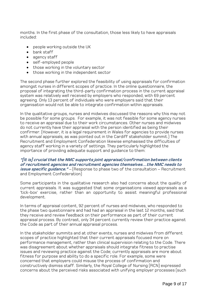months. In the first phase of the consultation, those less likely to have appraisals included:

- people working outside the UK
- bank staff
- agency staff
- self-employed people
- those working in the voluntary sector
- those working in the independent sector

The second phase further explored the feasibility of using appraisals for confirmation amongst nurses in different scopes of practice. In the online questionnaire, the proposal of integrating the third-party confirmation process in the current appraisal system was relatively well received by employers who responded, with 69 percent agreeing. Only 13 percent of individuals who were employers said that their organisation would not be able to integrate confirmation within appraisals.

In the qualitative groups, nurses and midwives discussed the reasons why this may not be possible for some groups. For example, it was not feasible for some agency nurses to receive an appraisal due to their work circumstances. Other nurses and midwives do not currently have their appraisal with the person identified as being their confirmer. (However, it is a legal requirement in Wales for agencies to provide nurses with annual appraisals, as was pointed out in the Cardiff stakeholder summit.) The Recruitment and Employment Confederation likewise emphasised the difficulties of agency staff working in a variety of settings. They particularly highlighted the importance of providing adequate support and guidance to them:

**"[It is] crucial that the NMC supports joint appraisal/confirmation between clients of recruitment agencies and recruitment agencies themselves…the NMC needs to**  *issue specific guidance."* – (Response to phase two of the consultation – Recruitment and Employment Confederation)

Some participants in the qualitative research also had concerns about the quality of current appraisals. It was suggested that some organisations viewed appraisals as a 'tick-box' exercise, rather than an opportunity to assist meaningful professional development.

In terms of appraisal content, 92 percent of nurses and midwives, who responded to the phase two questionnaire and had had an appraisal in the last 12 months, said that they receive and review feedback on their performance as part of their current appraisal process. By contrast, only 34 percent currently review their practice against the Code as part of their annual appraisal process.

In the stakeholder summits and at other events, nurses and midwives from different scopes of practice highlighted that their current appraisals focused more on performance management, rather than clinical supervision relating to the Code. There was disagreement about whether appraisals should integrate fitness to practise issues and reviewing practice against the Code; currently appraisals are more about fitness for purpose and ability to do a specific role. For example, some were concerned that employers could misuse the process of confirmation and constructively dismiss staff. Similarly, the Royal College of Nursing (RCN) expressed concerns about the perceived risks associated with unifying employer processes (such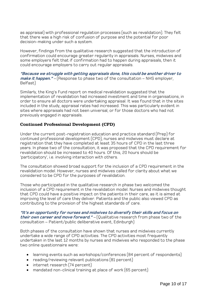as appraisal) with professional regulation processes (such as revalidation). They felt that there was a high risk of confusion of purpose and the potential for poor decision-making under such a system.

However, findings from the qualitative research suggested that the introduction of confirmation could encourage greater regularity in appraisals. Nurses, midwives and some employers felt that if confirmation had to happen during appraisals, then it could encourage employers to carry out regular appraisals.

**"Because we struggle with getting appraisals done, this could be another driver to make it happen."** – (Response to phase two of the consultation – NHS employer, Belfast)

Similarly, the King's Fund report on medical revalidation suggested that the implementation of revalidation had increased investment and time in organisations, in order to ensure all doctors were undertaking appraisal. It was found that in the sites included in the study, appraisal rates had increased. This was particularly evident in sites where appraisals had not been universal, or for those doctors who had not previously engaged in appraisals.

# Continued Professional Development (CPD)

Under the current post-registration education and practice standard (Prep) for continued professional development (CPD), nurses and midwives must declare at registration that they have completed at least 35 hours of CPD in the last three years. In phase two of the consultation, it was proposed that the CPD requirement for revalidation should be increased to 40 hours. Of this, 20 hours should be 'participatory', i.e. involving interaction with others.

The consultation showed broad support for the inclusion of a CPD requirement in the revalidation model. However, nurses and midwives called for clarity about what we considered to be CPD for the purposes of revalidation.

Those who participated in the qualitative research in phase two welcomed the inclusion of a CPD requirement in the revalidation model. Nurses and midwives thought that CPD could have a positive impact on the patients in their care, as it is aimed at improving the level of care they deliver. Patients and the public also viewed CPD as contributing to the provision of the highest standards of care.

#### **"It's an opportunity for nurses and midwives to diversify their skills and focus on their own career and move forward."** – (Qualitative research from phase two of the consultation – Patient/public deliberative event, Edinburgh)

Both phases of the consultation have shown that nurses and midwives currently undertake a wide range of CPD activities. The CPD activities most frequently undertaken in the last 12 months by nurses and midwives who responded to the phase two online questionnaire were:

- learning events such as workshops/conferences (84 percent of respondents)
- reading/reviewing relevant publications (81 percent)
- internet research (74 percent)
- mandated non-clinical training at place of work (65 percent)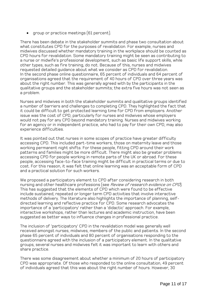• group or practice meetings (61 percent).

There has been debate in the stakeholder summits and phase two consultation about what constitutes CPD for the purposes of revalidation. For example, nurses and midwives discussed whether mandatory training in the workplace should be counted as CPD hours for revalidation. Some mandatory training might be seen as contributing to a nurse or midwife's professional development, such as basic life support skills, while other types, such as fire training, do not. Because of this, nurses and midwives requested detailed guidance about what we consider as CPD for revalidation. In the second phase online questionnaire, 65 percent of individuals and 64 percent of organisations agreed that the requirement of 40 hours of CPD over three years was about the right number. This was generally agreed with by the participants in the qualitative groups and the stakeholder summits; the extra five hours was not seen as a problem.

Nurses and midwives in both the stakeholder summits and qualitative groups identified a number of barriers and challenges to completing CPD. They highlighted the fact that it could be difficult to get protected learning time for CPD from employers. Another issue was the cost of CPD, particularly for nurses and midwives whose employers would not pay for any CPD beyond mandatory training. Nurses and midwives working for an agency or in independent practice, who had to pay for their own CPD, may also experience difficulties.

It was pointed out that nurses in some scopes of practice have greater difficulty accessing CPD. This included part-time workers, those on maternity leave and those working permanent night shifts. For these people, fitting CPD around their work patterns and families might be more difficult. There might also be greater problems accessing CPD for people working in remote parts of the UK or abroad. For these people, accessing face-to-face training might be difficult in practical terms or due to cost. For this reason, it was felt that online learning was an acceptable form of CPD and a practical solution for such workers.

We proposed a participatory element to CPD after considering research in both nursing and other healthcare professions (see *Review of research evidence on CPD*). This has suggested that the elements of CPD which were found to be effective include sustained, repeated or longer term CPD activities that involve interactive methods of delivery. The literature also highlights the importance of planning, selfdirected learning and reflective practice for CPD. Some research advocates the importance of a 'participatory' rather than a 'didactic' approach. For example, interactive workshops, rather than lectures and academic instruction, have been suggested as better ways to influence changes in professional practice.

The inclusion of 'participatory' CPD in the revalidation model was generally well received amongst nurses, midwives, members of the public and patients. In the second phase 65 percent of individuals and 80 percent of organisations responding to the questionnaire agreed with the inclusion of a participatory element. In the qualitative groups, several nurses and midwives felt it was important to learn with others and share practice.

There was some disagreement about whether a minimum of 20 hours of participatory CPD was appropriate. Of those who responded to the online consultation, 49 percent of individuals agreed that this was about the right number of hours. However, 30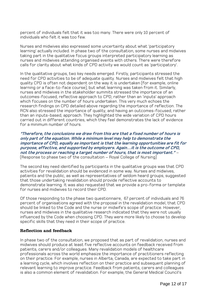percent of individuals felt that it was too many. There were only 10 percent of individuals who felt it was too few.

Nurses and midwives also expressed some uncertainty about what 'participatory learning' actually included. In phase two of the consultation, some nurses and midwives taking part in the qualitative focus groups interpreted participatory learning as nurses and midwives attending organised events with others. There were therefore calls for clarity about what kinds of CPD activity we would count as 'participatory'.

In the qualitative groups, two key needs emerged. Firstly, participants stressed the need for CPD activities to be of adequate quality. Nurses and midwives felt that high quality CPD is often not dependent on the way it is undertaken (for example, online learning or a face-to-face course), but what learning was taken from it. Similarly, nurses and midwives in the stakeholder summits stressed the importance of an outcomes-focused, reflective approach to CPD, rather than an 'inputs' approach which focuses on the number of hours undertaken. This very much echoes the research findings on CPD detailed above regarding the importance of reflection. The RCN also stressed the importance of quality, and having an outcomes-focused, rather than an inputs-based, approach. They highlighted the wide variation of CPD hours carried out in different countries, which they feel demonstrates the lack of evidence for a minimum number of hours.

**"Therefore, the conclusions we draw from this are that a fixed number of hours is only part of the equation. While a minimum level may help to demonstrate the importance of CPD, equally as important is that the learning opportunities are fit for purpose, effective, and supported by employers. Again…it is the outcome of CPD, not the process or reaching a target number of hours, that is most important."** – (Response to phase two of the consultation – Royal College of Nursing)

The second key need identified by participants in the qualitative groups was that CPD activities for revalidation should be evidenced in some way. Nurses and midwives, patients and the public, as well as representatives of seldom heard groups, suggested that those undertaking revalidation should provide reflective accounts to demonstrate learning. It was also requested that we provide a pro-forma or template for nurses and midwives to record their CPD.

Of those responding to the phase two questionnaire, 67 percent of individuals and 76 percent of organisations agreed with the proposal in the revalidation model, that CPD should be linked to the Code and the nurse or midwife's scope of practice. However, nurses and midwives in the qualitative research indicated that they were not usually influenced by the Code when choosing CPD. They were more likely to choose to develop specific skills that they need in their scope of practice.

# Reflection and feedback

In phase two of the consultation, we proposed that as part of revalidation, nurses and midwives should produce at least five reflective accounts on feedback received from patients, carers and/or colleagues. Many revalidation models of healthcare professionals across the world emphasize the importance of practitioners reflecting on their practice. For example, nurses in Alberta, Canada, are expected to take part in a learning cycle, which involves reflection on their practice and subsequent planning of relevant learning to improve practice. Feedback from patients, carers and colleagues is also a common element of revalidation. For example, the General Medical Council's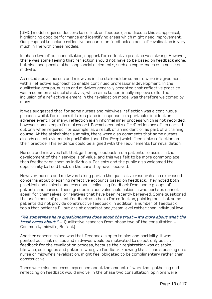(GMC) model requires doctors to reflect on feedback, and discuss this at appraisal, highlighting good performance and identifying areas which might need improvement. Our proposal to include reflective accounts on feedback as part of revalidation is very much in line with these models.

In phase two of our consultation, support for reflective practice was strong. However, there was some feeling that reflection should not have to be based on feedback alone, but also incorporate other appropriate elements, such as experiences as a nurse or midwife.

As noted above, nurses and midwives in the stakeholder summits were in agreement with a reflective approach to enable continued professional development. In the qualitative groups, nurses and midwives generally accepted that reflective practice was a common and useful activity, which aims to continually improve skills. The inclusion of a reflective element in the revalidation model was therefore welcomed by many.

It was suggested that for some nurses and midwives, reflection was a continuous process, whilst for others it takes place in response to a particular incident or adverse event. For many, reflection is an informal inner process which is not recorded, however some keep a formal record. Formal accounts of reflection are often carried out only when required, for example, as a result of an incident or as part of a training course. At the stakeholder summits, there were also comments that some nurses already collect evidence in portfolios (used for Prep) which feeds into reflection on their practice. This evidence could be aligned with the requirements for revalidation.

Nurses and midwives felt that gathering feedback from patients to assist in the development of their service is of value, and this was felt to be more commonplace than feedback on them as individuals. Patients and the public also welcomed the opportunity to feed back on the care they have received.

However, nurses and midwives taking part in the qualitative research also expressed concerns about preparing reflective accounts based on feedback. They noted both practical and ethical concerns about collecting feedback from some groups of patients and carers. These groups include vulnerable patients who perhaps cannot speak for themselves, or relatives that have been recently bereaved. Some questioned the usefulness of patient feedback as a basis for reflection, pointing out that some patients did not provide constructive feedback. In addition, a number of feedback tools that patients fill out are at organisational/team level rather than individual level.

**"We sometimes have questionnaires done about the trust – it's more about what the trust cares about."** – (Qualitative research from phase two of the consultation – Community midwife, Belfast)

Another concern raised was that feedback is open to bias and partiality. It was pointed out that nurses and midwives would be motivated to select only positive feedback for the revalidation process, because their registration was at stake. Likewise, colleagues and patients who give feedback, knowing that it has a bearing on a nurse or midwife's revalidation, might feel obligated to be complimentary rather than constructive.

There were also concerns expressed about the amount of work that gathering and reflecting on feedback would involve. In the phase two consultation, opinions were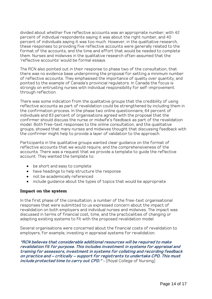divided about whether five reflective accounts was an appropriate number, with 42 percent of individual respondents saying it was about the right number, and 40 percent of individuals saying it was too much. However, in the qualitative research, these responses to providing five reflective accounts were generally related to the format of the accounts, and the time and effort that would be needed to complete them. Nurses and midwives in the qualitative research often assumed that the 'reflective accounts' would be formal essays.

The RCN also pointed out in their response to phase two of the consultation, that there was no evidence base underpinning the proposal for setting a minimum number of reflective accounts. They emphasised the importance of quality over quantity, and pointed to the example of Canada's provincial regulators. In Canada the focus is strongly on entrusting nurses with individual responsibility for self-improvement through reflection.

There was some indication from the qualitative groups that the credibility of using reflective accounts as part of revalidation could be strengthened by including them in the confirmation process. In the phase two online questionnaire, 64 percent of individuals and 83 percent of organisations agreed with the proposal that the confirmer should discuss the nurse or midwife's feedback as part of the revalidation model. Both free-text responses to the online consultation, and the qualitative groups, showed that many nurses and midwives thought that discussing feedback with the confirmer might help to provide a layer of validation to the approach.

Participants in the qualitative groups wanted clear guidance on the format of reflective accounts that we would require, and the comprehensiveness of the accounts. There was a request that we provide a template to guide the reflective account. They wanted the template to:

- be short and easy to complete
- have headings to help structure the response
- not be academically referenced
- include guidance about the types of topics that would be appropriate

#### Impact on the system

In the first phase of the consultation, a number of the free-text organisational responses that were submitted to us expressed concern about the impact of revalidation on both employers and individual nurses and midwives. The impact was discussed in terms of financial cost, time, and the practicalities of changing or adapting existing systems to fit with the proposed revalidation model.

Several organisations were concerned about the financial costs of revalidation to employers, for example, investing in appraisal systems for revalidation.

**"RCN believes that considerable additional resources will be required to make revalidation fit for purpose. This includes investment in systems for appraisal and training for assessors, investment in systems for collating and recording feedback on practice and – critically – support for registrants to undertake CPD. This must**  *include protected time to carry out CPD."* – (Royal College of Nursing)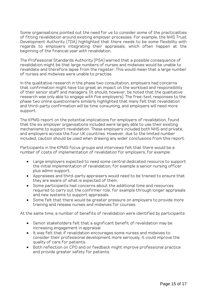Some organisations pointed out the need for us to consider some of the practicalities of fitting revalidation around existing employer processes. For example, the NHS Trust Development Authority (TDA) highlighted that there needs to be some flexibility with regards to employers integrating their appraisals, which often happen at the beginning of the financial year with revalidation.

The Professional Standards Authority (PSA) warned that a possible consequence of revalidation might be that large numbers of nurses and midwives would be unable to revalidate and therefore lapse from the register. This would mean that a large number of nurses and midwives were unable to practise.

In the qualitative research in the phase two consultation, employers had concerns that confirmation might have too great an impact on the workload and responsibility of their senior staff and managers. (It should, however, be noted that the qualitative research was only able to engage with five employers). The free-text responses to the phase two online questionnaire similarly highlighted that many felt that revalidation and third-party confirmation will be time consuming, and employers will need more support.

The KPMG report on the potential implications for employers of revalidation, found that the six employer organisations included were largely able to use their existing mechanisms to support revalidation. These employers included both NHS and private, and employers across the four UK countries. However, due to the limited number included, caution should be used when drawing any wider conclusions from this report.

Participants in the KPMG focus groups and interviews felt that there would be a number of costs of implementation of revalidation for employers, for example:

- Large employers expected to need some central dedicated resource to support the initial implementation of revalidation, for example a senior nursing officer plus admin support.
- Appraisees and third-party appraisers would need to be trained to ensure that they are aware of what is expected of them.
- Some participants had concerns about the additional time and resources required to carry out the confirmer role, for example through longer appraisals and new systems to support appraisals.
- Some felt that there would be greater pressure on employers to provide more training and release nurses and midwives for courses.

At the same time, a number of benefits of revalidation were identified by participants:

- Senior stakeholders felt that a significant benefit of revalidation may be increasing engagement in appraisal.
- It was felt that if revalidation encourages some nurses and midwives to consider their professional development more seriously, it could improve the quality of care for patients.
- Both reflection on CPD and on feedback might improve professional practice and provide greater safety for patients.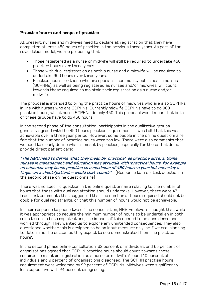# Practice hours and scope of practice

At present, nurses and midwives need to declare at registration that they have completed at least 450 hours of practice in the previous three years. As part of the revalidation model, we are proposing that:

- Those registered as a nurse or midwife will still be required to undertake 450 practice hours over three years.
- Those with dual registration as both a nurse and a midwife will be required to undertake 900 hours over three years.
- Practice hours for those who are specialist community public health nurses (SCPHNs), as well as being registered as nurses and/or midwives, will count towards those required to maintain their registration as a nurse and/or midwife.

The proposal is intended to bring the practice hours of midwives who are also SCPHNs in line with nurses who are SCPHNs. Currently midwife SCPHNs have to do 900 practice hours, whilst nurse SCPHNs do only 450. This proposal would mean that both of these groups have to do 450 hours.

In the second phase of the consultation, participants in the qualitative groups generally agreed with the 450 hours practice requirement. It was felt that this was achievable over a three year period. However, some people in the online questionnaire felt that the number of practice hours were too low. There were also comments that we need to clearly define what is meant by practice, especially for those that do not provide direct patient care:

#### **"The NMC need to define what they mean by 'practice', as practice differs. Some nurses in management and education may struggle with 'practice' hours, for example an educator may teach practice to a maximum of 450 hours a year but never lay a finger on a client/patient – would that count?"** – (Response to free-text question in the second phase online questionnaire)

There was no specific question in the online questionnaire relating to the number of hours that those with dual registration should undertake. However, there were 47 free-text comments that suggested that the number of hours required should not be double for dual registrants, or that this number of hours would not be achievable.

In their response to phase two of the consultation, NHS Employers thought that while it was appropriate to require the minimum number of hours to be undertaken in both roles to retain both registrations, the impact of this needed to be considered and worked through. They wanted us to explore any unintended consequences. They also questioned whether this is designed to be an input measure only, or if we are 'planning to determine the outcomes they expect to see demonstrated from the practice hours'.

In the second phase online consultation, 62 percent of individuals and 65 percent of organisations agreed that SCPHN practice hours should count towards those required to maintain registration as a nurse or midwife. Around 10 percent of individuals and 9 percent of organisations disagreed. The SCPHN practise hours requirement were welcomed by 92 percent of SCPHNs. Midwives were significantly less supportive with 24 percent disagreeing.